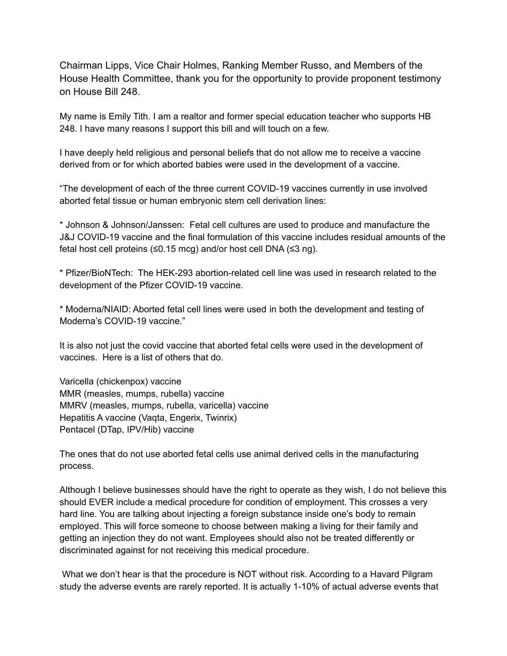Chairman Lipps, Vice Chair Holmes, Ranking Member Russo, and Members of the House Health Committee, thank you for the opportunity to provide proponent testimony on House Bill 248.

My name is Emily Tith. I am a realtor and former special education teacher who supports HB 248. I have many reasons I support this bill and will touch on a few.

I have deeply held religious and personal beliefs that do not allow me to receive a vaccine derived from or for which aborted babies were used in the development of a vaccine.

"The development of each of the three current COVID-19 vaccines currently in use involved aborted fetal tissue or human embryonic stem cell derivation lines:

\* Johnson & Johnson/Janssen: Fetal cell cultures are used to produce and manufacture the J&J COVID-19 vaccine and the final formulation of this vaccine includes residual amounts of the fetal host cell proteins ( $\leq 0.15$  mcg) and/or host cell DNA ( $\leq 3$  ng).

\* Pfizer/BioNTech: The HEK-293 abortion-related cell line was used in research related to the development of the Pfizer COVID-19 vaccine.

\* Moderna/NIAID: Aborted fetal cell lines were used in both the development and testing of Moderna's COVID-19 vaccine."

It is also not just the covid vaccine that aborted fetal cells were used in the development of vaccines. Here is a list of others that do.

Varicella (chickenpox) vaccine MMR (measles, mumps, rubella) vaccine MMRV (measles, mumps, rubella, varicella) vaccine Hepatitis A vaccine (Vaqta, Engerix, Twinrix) Pentacel (DTap, IPV/Hib) vaccine

The ones that do not use aborted fetal cells use animal derived cells in the manufacturing process.

Although I believe businesses should have the right to operate as they wish, I do not believe this should EVER include a medical procedure for condition of employment. This crosses a very hard line. You are talking about injecting a foreign substance inside one's body to remain employed. This will force someone to choose between making a living for their family and getting an injection they do not want. Employees should also not be treated differently or discriminated against for not receiving this medical procedure.

What we don't hear is that the procedure is NOT without risk. According to a Havard Pilgram study the adverse events are rarely reported. It is actually 1-10% of actual adverse events that